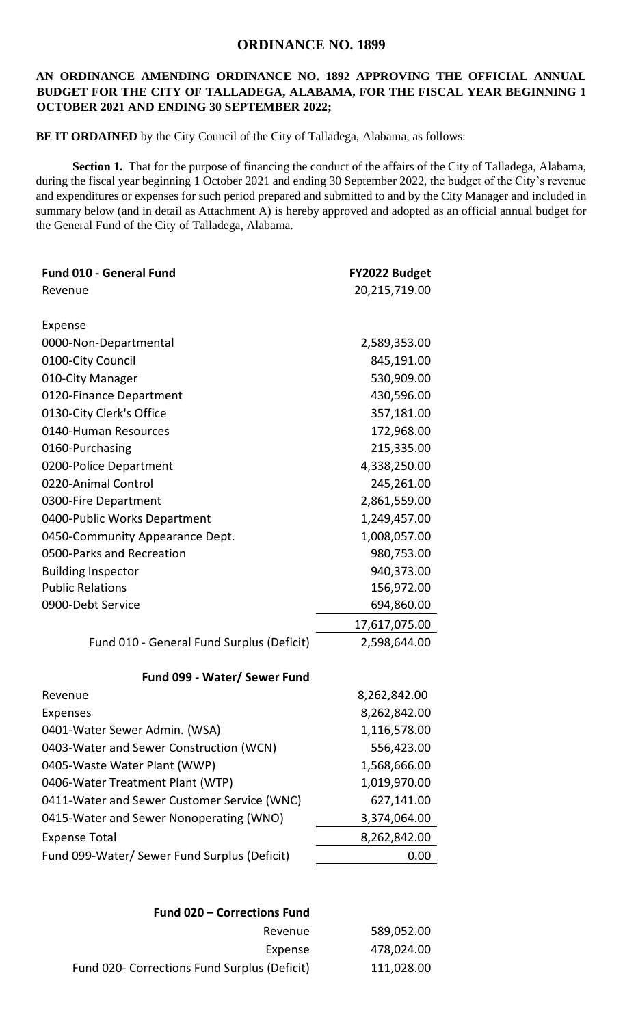## **ORDINANCE NO. 1899**

## **AN ORDINANCE AMENDING ORDINANCE NO. 1892 APPROVING THE OFFICIAL ANNUAL BUDGET FOR THE CITY OF TALLADEGA, ALABAMA, FOR THE FISCAL YEAR BEGINNING 1 OCTOBER 2021 AND ENDING 30 SEPTEMBER 2022;**

**BE IT ORDAINED** by the City Council of the City of Talladega, Alabama, as follows:

Section 1. That for the purpose of financing the conduct of the affairs of the City of Talladega, Alabama, during the fiscal year beginning 1 October 2021 and ending 30 September 2022, the budget of the City's revenue and expenditures or expenses for such period prepared and submitted to and by the City Manager and included in summary below (and in detail as Attachment A) is hereby approved and adopted as an official annual budget for the General Fund of the City of Talladega, Alabama.

| Fund 010 - General Fund                      | FY2022 Budget |
|----------------------------------------------|---------------|
| Revenue                                      | 20,215,719.00 |
|                                              |               |
| Expense                                      |               |
| 0000-Non-Departmental                        | 2,589,353.00  |
| 0100-City Council                            | 845,191.00    |
| 010-City Manager                             | 530,909.00    |
| 0120-Finance Department                      | 430,596.00    |
| 0130-City Clerk's Office                     | 357,181.00    |
| 0140-Human Resources                         | 172,968.00    |
| 0160-Purchasing                              | 215,335.00    |
| 0200-Police Department                       | 4,338,250.00  |
| 0220-Animal Control                          | 245,261.00    |
| 0300-Fire Department                         | 2,861,559.00  |
| 0400-Public Works Department                 | 1,249,457.00  |
| 0450-Community Appearance Dept.              | 1,008,057.00  |
| 0500-Parks and Recreation                    | 980,753.00    |
| <b>Building Inspector</b>                    | 940,373.00    |
| <b>Public Relations</b>                      | 156,972.00    |
| 0900-Debt Service                            | 694,860.00    |
|                                              | 17,617,075.00 |
| Fund 010 - General Fund Surplus (Deficit)    | 2,598,644.00  |
| Fund 099 - Water/ Sewer Fund                 |               |
| Revenue                                      | 8,262,842.00  |
| <b>Expenses</b>                              | 8,262,842.00  |
| 0401-Water Sewer Admin. (WSA)                | 1,116,578.00  |
| 0403-Water and Sewer Construction (WCN)      | 556,423.00    |
| 0405-Waste Water Plant (WWP)                 | 1,568,666.00  |
| 0406-Water Treatment Plant (WTP)             | 1,019,970.00  |
| 0411-Water and Sewer Customer Service (WNC)  | 627,141.00    |
| 0415-Water and Sewer Nonoperating (WNO)      | 3,374,064.00  |
| <b>Expense Total</b>                         | 8,262,842.00  |
| Fund 099-Water/ Sewer Fund Surplus (Deficit) | 0.00          |
|                                              |               |

| Fund 020 - Corrections Fund |                                              |
|-----------------------------|----------------------------------------------|
| 589,052.00                  | Revenue                                      |
| 478,024.00                  | Expense                                      |
| 111,028.00                  | Fund 020- Corrections Fund Surplus (Deficit) |